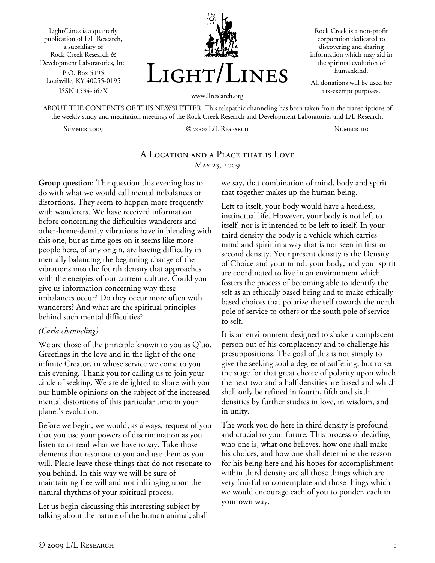Light/Lines is a quarterly publication of L/L Research, a subsidiary of Rock Creek Research & Development Laboratories, Inc. P.O. Box 5195 Louisville, KY 40255-0195 ISSN 1534-567X



Rock Creek is a non-profit corporation dedicated to discovering and sharing information which may aid in the spiritual evolution of humankind.

All donations will be used for tax-exempt purposes.

ABOUT THE CONTENTS OF THIS NEWSLETTER: This telepathic channeling has been taken from the transcriptions of the weekly study and meditation meetings of the Rock Creek Research and Development Laboratories and L/L Research.

Summer 2009 © 2009 L/L Research Number 110

### A Location and a Place that is Love May 23, 2009

**Group question:** The question this evening has to do with what we would call mental imbalances or distortions. They seem to happen more frequently with wanderers. We have received information before concerning the difficulties wanderers and other-home-density vibrations have in blending with this one, but as time goes on it seems like more people here, of any origin, are having difficulty in mentally balancing the beginning change of the vibrations into the fourth density that approaches with the energies of our current culture. Could you give us information concerning why these imbalances occur? Do they occur more often with wanderers? And what are the spiritual principles behind such mental difficulties?

### *(Carla channeling)*

We are those of the principle known to you as Q'uo. Greetings in the love and in the light of the one infinite Creator, in whose service we come to you this evening. Thank you for calling us to join your circle of seeking. We are delighted to share with you our humble opinions on the subject of the increased mental distortions of this particular time in your planet's evolution.

Before we begin, we would, as always, request of you that you use your powers of discrimination as you listen to or read what we have to say. Take those elements that resonate to you and use them as you will. Please leave those things that do not resonate to you behind. In this way we will be sure of maintaining free will and not infringing upon the natural rhythms of your spiritual process.

Let us begin discussing this interesting subject by talking about the nature of the human animal, shall we say, that combination of mind, body and spirit that together makes up the human being.

Left to itself, your body would have a heedless, instinctual life. However, your body is not left to itself, nor is it intended to be left to itself. In your third density the body is a vehicle which carries mind and spirit in a way that is not seen in first or second density. Your present density is the Density of Choice and your mind, your body, and your spirit are coordinated to live in an environment which fosters the process of becoming able to identify the self as an ethically based being and to make ethically based choices that polarize the self towards the north pole of service to others or the south pole of service to self.

It is an environment designed to shake a complacent person out of his complacency and to challenge his presuppositions. The goal of this is not simply to give the seeking soul a degree of suffering, but to set the stage for that great choice of polarity upon which the next two and a half densities are based and which shall only be refined in fourth, fifth and sixth densities by further studies in love, in wisdom, and in unity.

The work you do here in third density is profound and crucial to your future. This process of deciding who one is, what one believes, how one shall make his choices, and how one shall determine the reason for his being here and his hopes for accomplishment within third density are all those things which are very fruitful to contemplate and those things which we would encourage each of you to ponder, each in your own way.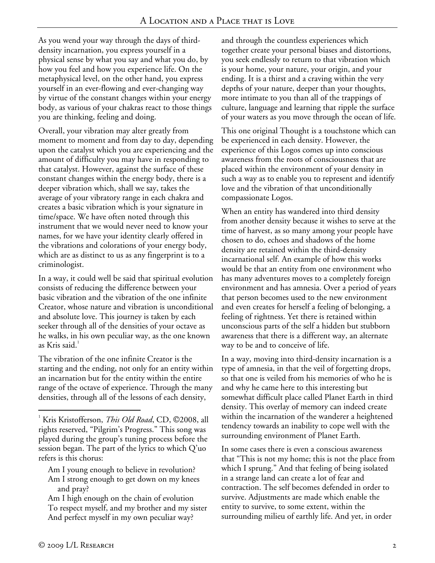As you wend your way through the days of thirddensity incarnation, you express yourself in a physical sense by what you say and what you do, by how you feel and how you experience life. On the metaphysical level, on the other hand, you express yourself in an ever-flowing and ever-changing way by virtue of the constant changes within your energy body, as various of your chakras react to those things you are thinking, feeling and doing.

Overall, your vibration may alter greatly from moment to moment and from day to day, depending upon the catalyst which you are experiencing and the amount of difficulty you may have in responding to that catalyst. However, against the surface of these constant changes within the energy body, there is a deeper vibration which, shall we say, takes the average of your vibratory range in each chakra and creates a basic vibration which is your signature in time/space. We have often noted through this instrument that we would never need to know your names, for we have your identity clearly offered in the vibrations and colorations of your energy body, which are as distinct to us as any fingerprint is to a criminologist.

In a way, it could well be said that spiritual evolution consists of reducing the difference between your basic vibration and the vibration of the one infinite Creator, whose nature and vibration is unconditional and absolute love. This journey is taken by each seeker through all of the densities of your octave as he walks, in his own peculiar way, as the one known as Kris said. $1$ 

The vibration of the one infinite Creator is the starting and the ending, not only for an entity within an incarnation but for the entity within the entire range of the octave of experience. Through the many densities, through all of the lessons of each density,

Am I young enough to believe in revolution? Am I strong enough to get down on my knees and pray?

Am I high enough on the chain of evolution To respect myself, and my brother and my sister And perfect myself in my own peculiar way?

and through the countless experiences which together create your personal biases and distortions, you seek endlessly to return to that vibration which is your home, your nature, your origin, and your ending. It is a thirst and a craving within the very depths of your nature, deeper than your thoughts, more intimate to you than all of the trappings of culture, language and learning that ripple the surface of your waters as you move through the ocean of life.

This one original Thought is a touchstone which can be experienced in each density. However, the experience of this Logos comes up into conscious awareness from the roots of consciousness that are placed within the environment of your density in such a way as to enable you to represent and identify love and the vibration of that unconditionally compassionate Logos.

When an entity has wandered into third density from another density because it wishes to serve at the time of harvest, as so many among your people have chosen to do, echoes and shadows of the home density are retained within the third-density incarnational self. An example of how this works would be that an entity from one environment who has many adventures moves to a completely foreign environment and has amnesia. Over a period of years that person becomes used to the new environment and even creates for herself a feeling of belonging, a feeling of rightness. Yet there is retained within unconscious parts of the self a hidden but stubborn awareness that there is a different way, an alternate way to be and to conceive of life.

In a way, moving into third-density incarnation is a type of amnesia, in that the veil of forgetting drops, so that one is veiled from his memories of who he is and why he came here to this interesting but somewhat difficult place called Planet Earth in third density. This overlay of memory can indeed create within the incarnation of the wanderer a heightened tendency towards an inability to cope well with the surrounding environment of Planet Earth.

In some cases there is even a conscious awareness that "This is not my home; this is not the place from which I sprung." And that feeling of being isolated in a strange land can create a lot of fear and contraction. The self becomes defended in order to survive. Adjustments are made which enable the entity to survive, to some extent, within the surrounding milieu of earthly life. And yet, in order

1

<sup>1</sup> Kris Kristofferson, *This Old Road*, CD, ©2008, all rights reserved, "Pilgrim's Progress." This song was played during the group's tuning process before the session began. The part of the lyrics to which Q'uo refers is this chorus: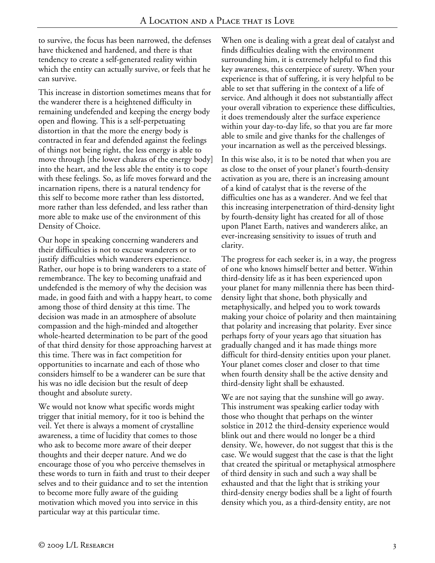to survive, the focus has been narrowed, the defenses have thickened and hardened, and there is that tendency to create a self-generated reality within which the entity can actually survive, or feels that he can survive.

This increase in distortion sometimes means that for the wanderer there is a heightened difficulty in remaining undefended and keeping the energy body open and flowing. This is a self-perpetuating distortion in that the more the energy body is contracted in fear and defended against the feelings of things not being right, the less energy is able to move through [the lower chakras of the energy body] into the heart, and the less able the entity is to cope with these feelings. So, as life moves forward and the incarnation ripens, there is a natural tendency for this self to become more rather than less distorted, more rather than less defended, and less rather than more able to make use of the environment of this Density of Choice.

Our hope in speaking concerning wanderers and their difficulties is not to excuse wanderers or to justify difficulties which wanderers experience. Rather, our hope is to bring wanderers to a state of remembrance. The key to becoming unafraid and undefended is the memory of why the decision was made, in good faith and with a happy heart, to come among those of third density at this time. The decision was made in an atmosphere of absolute compassion and the high-minded and altogether whole-hearted determination to be part of the good of that third density for those approaching harvest at this time. There was in fact competition for opportunities to incarnate and each of those who considers himself to be a wanderer can be sure that his was no idle decision but the result of deep thought and absolute surety.

We would not know what specific words might trigger that initial memory, for it too is behind the veil. Yet there is always a moment of crystalline awareness, a time of lucidity that comes to those who ask to become more aware of their deeper thoughts and their deeper nature. And we do encourage those of you who perceive themselves in these words to turn in faith and trust to their deeper selves and to their guidance and to set the intention to become more fully aware of the guiding motivation which moved you into service in this particular way at this particular time.

When one is dealing with a great deal of catalyst and finds difficulties dealing with the environment surrounding him, it is extremely helpful to find this key awareness, this centerpiece of surety. When your experience is that of suffering, it is very helpful to be able to set that suffering in the context of a life of service. And although it does not substantially affect your overall vibration to experience these difficulties, it does tremendously alter the surface experience within your day-to-day life, so that you are far more able to smile and give thanks for the challenges of your incarnation as well as the perceived blessings.

In this wise also, it is to be noted that when you are as close to the onset of your planet's fourth-density activation as you are, there is an increasing amount of a kind of catalyst that is the reverse of the difficulties one has as a wanderer. And we feel that this increasing interpenetration of third-density light by fourth-density light has created for all of those upon Planet Earth, natives and wanderers alike, an ever-increasing sensitivity to issues of truth and clarity.

The progress for each seeker is, in a way, the progress of one who knows himself better and better. Within third-density life as it has been experienced upon your planet for many millennia there has been thirddensity light that shone, both physically and metaphysically, and helped you to work towards making your choice of polarity and then maintaining that polarity and increasing that polarity. Ever since perhaps forty of your years ago that situation has gradually changed and it has made things more difficult for third-density entities upon your planet. Your planet comes closer and closer to that time when fourth density shall be the active density and third-density light shall be exhausted.

We are not saying that the sunshine will go away. This instrument was speaking earlier today with those who thought that perhaps on the winter solstice in 2012 the third-density experience would blink out and there would no longer be a third density. We, however, do not suggest that this is the case. We would suggest that the case is that the light that created the spiritual or metaphysical atmosphere of third density in such and such a way shall be exhausted and that the light that is striking your third-density energy bodies shall be a light of fourth density which you, as a third-density entity, are not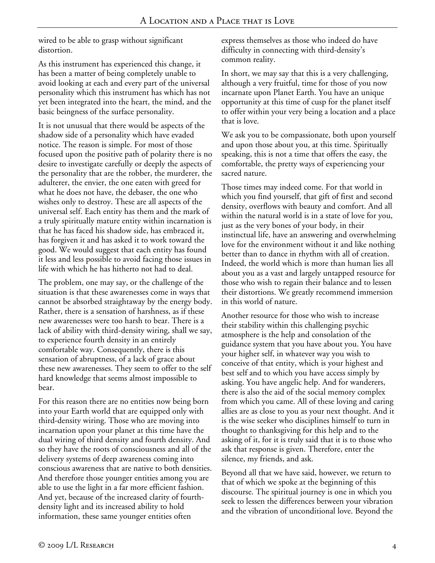wired to be able to grasp without significant distortion.

As this instrument has experienced this change, it has been a matter of being completely unable to avoid looking at each and every part of the universal personality which this instrument has which has not yet been integrated into the heart, the mind, and the basic beingness of the surface personality.

It is not unusual that there would be aspects of the shadow side of a personality which have evaded notice. The reason is simple. For most of those focused upon the positive path of polarity there is no desire to investigate carefully or deeply the aspects of the personality that are the robber, the murderer, the adulterer, the envier, the one eaten with greed for what he does not have, the debaser, the one who wishes only to destroy. These are all aspects of the universal self. Each entity has them and the mark of a truly spiritually mature entity within incarnation is that he has faced his shadow side, has embraced it, has forgiven it and has asked it to work toward the good. We would suggest that each entity has found it less and less possible to avoid facing those issues in life with which he has hitherto not had to deal.

The problem, one may say, or the challenge of the situation is that these awarenesses come in ways that cannot be absorbed straightaway by the energy body. Rather, there is a sensation of harshness, as if these new awarenesses were too harsh to bear. There is a lack of ability with third-density wiring, shall we say, to experience fourth density in an entirely comfortable way. Consequently, there is this sensation of abruptness, of a lack of grace about these new awarenesses. They seem to offer to the self hard knowledge that seems almost impossible to bear.

For this reason there are no entities now being born into your Earth world that are equipped only with third-density wiring. Those who are moving into incarnation upon your planet at this time have the dual wiring of third density and fourth density. And so they have the roots of consciousness and all of the delivery systems of deep awareness coming into conscious awareness that are native to both densities. And therefore those younger entities among you are able to use the light in a far more efficient fashion. And yet, because of the increased clarity of fourthdensity light and its increased ability to hold information, these same younger entities often

express themselves as those who indeed do have difficulty in connecting with third-density's common reality.

In short, we may say that this is a very challenging, although a very fruitful, time for those of you now incarnate upon Planet Earth. You have an unique opportunity at this time of cusp for the planet itself to offer within your very being a location and a place that is love.

We ask you to be compassionate, both upon yourself and upon those about you, at this time. Spiritually speaking, this is not a time that offers the easy, the comfortable, the pretty ways of experiencing your sacred nature.

Those times may indeed come. For that world in which you find yourself, that gift of first and second density, overflows with beauty and comfort. And all within the natural world is in a state of love for you, just as the very bones of your body, in their instinctual life, have an answering and overwhelming love for the environment without it and like nothing better than to dance in rhythm with all of creation. Indeed, the world which is more than human lies all about you as a vast and largely untapped resource for those who wish to regain their balance and to lessen their distortions. We greatly recommend immersion in this world of nature.

Another resource for those who wish to increase their stability within this challenging psychic atmosphere is the help and consolation of the guidance system that you have about you. You have your higher self, in whatever way you wish to conceive of that entity, which is your highest and best self and to which you have access simply by asking. You have angelic help. And for wanderers, there is also the aid of the social memory complex from which you came. All of these loving and caring allies are as close to you as your next thought. And it is the wise seeker who disciplines himself to turn in thought to thanksgiving for this help and to the asking of it, for it is truly said that it is to those who ask that response is given. Therefore, enter the silence, my friends, and ask.

Beyond all that we have said, however, we return to that of which we spoke at the beginning of this discourse. The spiritual journey is one in which you seek to lessen the differences between your vibration and the vibration of unconditional love. Beyond the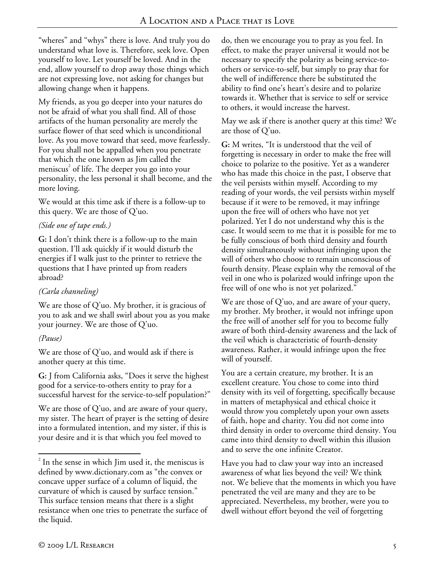"wheres" and "whys" there is love. And truly you do understand what love is. Therefore, seek love. Open yourself to love. Let yourself be loved. And in the end, allow yourself to drop away those things which are not expressing love, not asking for changes but allowing change when it happens.

My friends, as you go deeper into your natures do not be afraid of what you shall find. All of those artifacts of the human personality are merely the surface flower of that seed which is unconditional love. As you move toward that seed, move fearlessly. For you shall not be appalled when you penetrate that which the one known as Jim called the meniscus<sup>2</sup> of life. The deeper you go into your personality, the less personal it shall become, and the more loving.

We would at this time ask if there is a follow-up to this query. We are those of Q'uo.

## *(Side one of tape ends.)*

**G:** I don't think there is a follow-up to the main question. I'll ask quickly if it would disturb the energies if I walk just to the printer to retrieve the questions that I have printed up from readers abroad?

# *(Carla channeling)*

We are those of Q'uo. My brother, it is gracious of you to ask and we shall swirl about you as you make your journey. We are those of Q'uo.

# *(Pause)*

 $\overline{a}$ 

We are those of Q'uo, and would ask if there is another query at this time.

**G:** J from California asks, "Does it serve the highest good for a service-to-others entity to pray for a successful harvest for the service-to-self population?"

We are those of Q'uo, and are aware of your query, my sister. The heart of prayer is the setting of desire into a formulated intention, and my sister, if this is your desire and it is that which you feel moved to

do, then we encourage you to pray as you feel. In effect, to make the prayer universal it would not be necessary to specify the polarity as being service-toothers or service-to-self, but simply to pray that for the well of indifference there be substituted the ability to find one's heart's desire and to polarize towards it. Whether that is service to self or service to others, it would increase the harvest.

May we ask if there is another query at this time? We are those of Q'uo.

**G:** M writes, "It is understood that the veil of forgetting is necessary in order to make the free will choice to polarize to the positive. Yet as a wanderer who has made this choice in the past, I observe that the veil persists within myself. According to my reading of your words, the veil persists within myself because if it were to be removed, it may infringe upon the free will of others who have not yet polarized. Yet I do not understand why this is the case. It would seem to me that it is possible for me to be fully conscious of both third density and fourth density simultaneously without infringing upon the will of others who choose to remain unconscious of fourth density. Please explain why the removal of the veil in one who is polarized would infringe upon the free will of one who is not yet polarized."

We are those of Q'uo, and are aware of your query, my brother. My brother, it would not infringe upon the free will of another self for you to become fully aware of both third-density awareness and the lack of the veil which is characteristic of fourth-density awareness. Rather, it would infringe upon the free will of yourself.

You are a certain creature, my brother. It is an excellent creature. You chose to come into third density with its veil of forgetting, specifically because in matters of metaphysical and ethical choice it would throw you completely upon your own assets of faith, hope and charity. You did not come into third density in order to overcome third density. You came into third density to dwell within this illusion and to serve the one infinite Creator.

Have you had to claw your way into an increased awareness of what lies beyond the veil? We think not. We believe that the moments in which you have penetrated the veil are many and they are to be appreciated. Nevertheless, my brother, were you to dwell without effort beyond the veil of forgetting

 $2^{2}$  In the sense in which Jim used it, the meniscus is defined by www.dictionary.com as "the convex or concave upper surface of a column of liquid, the curvature of which is caused by surface tension." This surface tension means that there is a slight resistance when one tries to penetrate the surface of the liquid.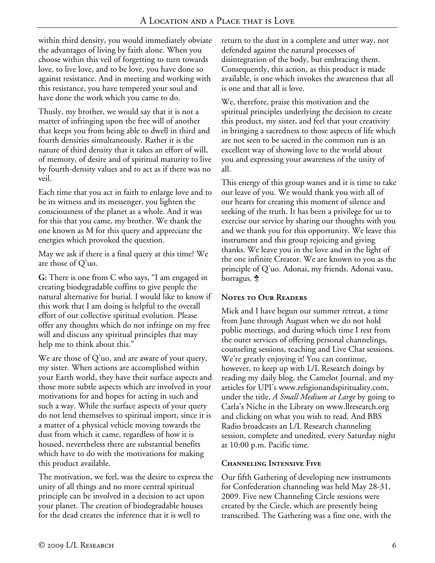within third density, you would immediately obviate the advantages of living by faith alone. When you choose within this veil of forgetting to turn towards love, to live love, and to be love, you have done so against resistance. And in meeting and working with this resistance, you have tempered your soul and have done the work which you came to do.

Thusly, my brother, we would say that it is not a matter of infringing upon the free will of another that keeps you from being able to dwell in third and fourth densities simultaneously. Rather it is the nature of third density that it takes an effort of will, of memory, of desire and of spiritual maturity to live by fourth-density values and to act as if there was no veil.

Each time that you act in faith to enlarge love and to be its witness and its messenger, you lighten the consciousness of the planet as a whole. And it was for this that you came, my brother. We thank the one known as M for this query and appreciate the energies which provoked the question.

May we ask if there is a final query at this time? We are those of Q'uo.

**G:** There is one from C who says, "I am engaged in creating biodegradable coffins to give people the natural alternative for burial. I would like to know if this work that I am doing is helpful to the overall effort of our collective spiritual evolution. Please offer any thoughts which do not infringe on my free will and discuss any spiritual principles that may help me to think about this."

We are those of Q'uo, and are aware of your query, my sister. When actions are accomplished within your Earth world, they have their surface aspects and those more subtle aspects which are involved in your motivations for and hopes for acting in such and such a way. While the surface aspects of your query do not lend themselves to spiritual import, since it is a matter of a physical vehicle moving towards the dust from which it came, regardless of how it is housed, nevertheless there are substantial benefits which have to do with the motivations for making this product available.

The motivation, we feel, was the desire to express the unity of all things and no more central spiritual principle can be involved in a decision to act upon your planet. The creation of biodegradable houses for the dead creates the inference that it is well to

return to the dust in a complete and utter way, not defended against the natural processes of disintegration of the body, but embracing them. Consequently, this action, as this product is made available, is one which invokes the awareness that all is one and that all is love.

We, therefore, praise this motivation and the spiritual principles underlying the decision to create this product, my sister, and feel that your creativity in bringing a sacredness to those aspects of life which are not seen to be sacred in the common run is an excellent way of showing love to the world about you and expressing your awareness of the unity of all.

This energy of this group wanes and it is time to take our leave of you. We would thank you with all of our hearts for creating this moment of silence and seeking of the truth. It has been a privilege for us to exercise our service by sharing our thoughts with you and we thank you for this opportunity. We leave this instrument and this group rejoicing and giving thanks. We leave you in the love and in the light of the one infinite Creator. We are known to you as the principle of Q'uo. Adonai, my friends. Adonai vasu, borragus.  $\boldsymbol{\dot{\ddot{s}}}$ 

## **Notes to Our Readers**

Mick and I have begun our summer retreat, a time from June through August when we do not hold public meetings, and during which time I rest from the outer services of offering personal channelings, counseling sessions, teaching and Live Chat sessions. We're greatly enjoying it! You can continue, however, to keep up with L/L Research doings by reading my daily blog, the Camelot Journal, and my articles for UPI's www.religionandspirituality.com, under the title, *A Small Medium at Large* by going to Carla's Niche in the Library on www.llresearch.org and clicking on what you wish to read*.* And BBS Radio broadcasts an L/L Research channeling session, complete and unedited, every Saturday night at 10:00 p.m. Pacific time.

# **Channeling Intensive Five**

Our fifth Gathering of developing new instruments for Confederation channeling was held May 28-31, 2009. Five new Channeling Circle sessions were created by the Circle, which are presently being transcribed. The Gathering was a fine one, with the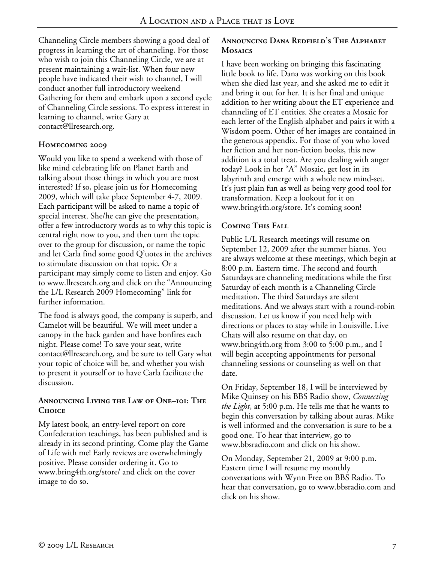Channeling Circle members showing a good deal of progress in learning the art of channeling. For those who wish to join this Channeling Circle, we are at present maintaining a wait-list. When four new people have indicated their wish to channel, I will conduct another full introductory weekend Gathering for them and embark upon a second cycle of Channeling Circle sessions. To express interest in learning to channel, write Gary at contact@llresearch.org.

### **Homecoming 2009**

Would you like to spend a weekend with those of like mind celebrating life on Planet Earth and talking about those things in which you are most interested? If so, please join us for Homecoming 2009, which will take place September 4-7, 2009. Each participant will be asked to name a topic of special interest. She/he can give the presentation, offer a few introductory words as to why this topic is central right now to you, and then turn the topic over to the group for discussion, or name the topic and let Carla find some good Q'uotes in the archives to stimulate discussion on that topic. Or a participant may simply come to listen and enjoy. Go to www.llresearch.org and click on the "Announcing the L/L Research 2009 Homecoming" link for further information.

The food is always good, the company is superb, and Camelot will be beautiful. We will meet under a canopy in the back garden and have bonfires each night. Please come! To save your seat, write contact@llresearch.org, and be sure to tell Gary what your topic of choice will be, and whether you wish to present it yourself or to have Carla facilitate the discussion.

### **Announcing Living the Law of One–101: The Choice**

My latest book, an entry-level report on core Confederation teachings, has been published and is already in its second printing. Come play the Game of Life with me! Early reviews are overwhelmingly positive. Please consider ordering it. Go to www.bring4th.org/store/ and click on the cover image to do so.

### **Announcing Dana Redfield's The Alphabet Mosaics**

I have been working on bringing this fascinating little book to life. Dana was working on this book when she died last year, and she asked me to edit it and bring it out for her. It is her final and unique addition to her writing about the ET experience and channeling of ET entities. She creates a Mosaic for each letter of the English alphabet and pairs it with a Wisdom poem. Other of her images are contained in the generous appendix. For those of you who loved her fiction and her non-fiction books, this new addition is a total treat. Are you dealing with anger today? Look in her "A" Mosaic, get lost in its labyrinth and emerge with a whole new mind-set. It's just plain fun as well as being very good tool for transformation. Keep a lookout for it on www.bring4th.org/store. It's coming soon!

### **Coming This Fall**

Public L/L Research meetings will resume on September 12, 2009 after the summer hiatus. You are always welcome at these meetings, which begin at 8:00 p.m. Eastern time. The second and fourth Saturdays are channeling meditations while the first Saturday of each month is a Channeling Circle meditation. The third Saturdays are silent meditations. And we always start with a round-robin discussion. Let us know if you need help with directions or places to stay while in Louisville. Live Chats will also resume on that day, on www.bring4th.org from 3:00 to 5:00 p.m., and I will begin accepting appointments for personal channeling sessions or counseling as well on that date.

On Friday, September 18, I will be interviewed by Mike Quinsey on his BBS Radio show, *Connecting the Light*, at 5:00 p.m. He tells me that he wants to begin this conversation by talking about auras. Mike is well informed and the conversation is sure to be a good one. To hear that interview, go to www.bbsradio.com and click on his show.

On Monday, September 21, 2009 at 9:00 p.m. Eastern time I will resume my monthly conversations with Wynn Free on BBS Radio. To hear that conversation, go to www.bbsradio.com and click on his show.